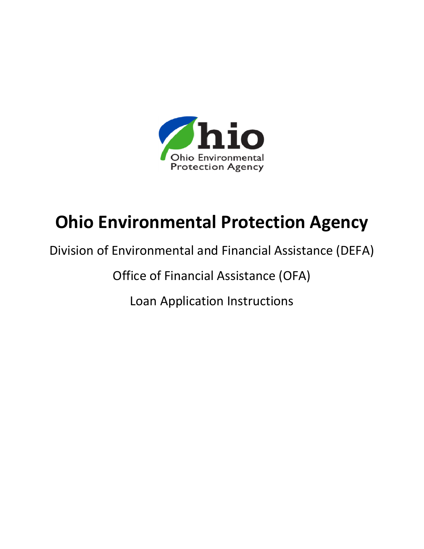

# **Ohio Environmental Protection Agency**

## Division of Environmental and Financial Assistance (DEFA)

Office of Financial Assistance (OFA)

Loan Application Instructions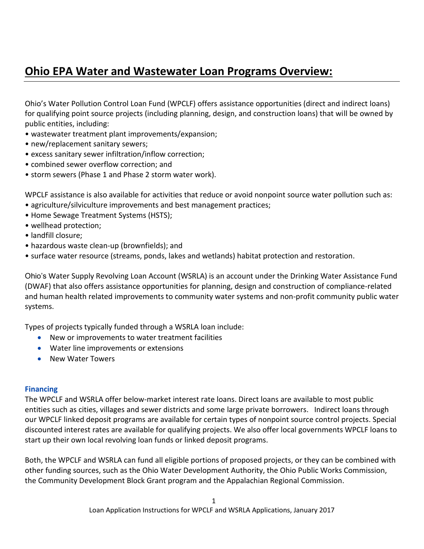## **Ohio EPA Water and Wastewater Loan Programs Overview:**

Ohio's Water Pollution Control Loan Fund (WPCLF) offers assistance opportunities (direct and indirect loans) for qualifying point source projects (including planning, design, and construction loans) that will be owned by public entities, including:

- wastewater treatment plant improvements/expansion;
- new/replacement sanitary sewers;
- excess sanitary sewer infiltration/inflow correction;
- combined sewer overflow correction; and
- storm sewers (Phase 1 and Phase 2 storm water work).

WPCLF assistance is also available for activities that reduce or avoid nonpoint source water pollution such as:

- agriculture/silviculture improvements and best management practices;
- Home Sewage Treatment Systems (HSTS);
- wellhead protection;
- landfill closure;
- hazardous waste clean-up (brownfields); and
- surface water resource (streams, ponds, lakes and wetlands) habitat protection and restoration.

Ohio's Water Supply Revolving Loan Account (WSRLA) is an account under the Drinking Water Assistance Fund (DWAF) that also offers assistance opportunities for planning, design and construction of compliance-related and human health related improvements to community water systems and non-profit community public water systems.

Types of projects typically funded through a WSRLA loan include:

- New or improvements to water treatment facilities
- Water line improvements or extensions
- New Water Towers

## **Financing**

The WPCLF and WSRLA offer below-market interest rate loans. Direct loans are available to most public entities such as cities, villages and sewer districts and some large private borrowers. Indirect loans through our WPCLF linked deposit programs are available for certain types of nonpoint source control projects. Special discounted interest rates are available for qualifying projects. We also offer local governments WPCLF loans to start up their own local revolving loan funds or linked deposit programs.

Both, the WPCLF and WSRLA can fund all eligible portions of proposed projects, or they can be combined with other funding sources, such as the Ohio Water Development Authority, the Ohio Public Works Commission, the Community Development Block Grant program and the Appalachian Regional Commission.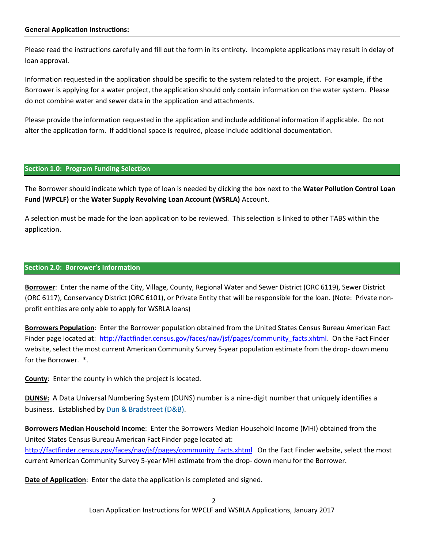#### **General Application Instructions:**

Please read the instructions carefully and fill out the form in its entirety. Incomplete applications may result in delay of loan approval.

Information requested in the application should be specific to the system related to the project. For example, if the Borrower is applying for a water project, the application should only contain information on the water system. Please do not combine water and sewer data in the application and attachments.

Please provide the information requested in the application and include additional information if applicable. Do not alter the application form. If additional space is required, please include additional documentation.

#### **Section 1.0: Program Funding Selection**

The Borrower should indicate which type of loan is needed by clicking the box next to the **Water Pollution Control Loan Fund (WPCLF)** or the **Water Supply Revolving Loan Account (WSRLA)** Account.

A selection must be made for the loan application to be reviewed. This selection is linked to other TABS within the application.

#### **Section 2.0: Borrower's Information**

**Borrower**: Enter the name of the City, Village, County, Regional Water and Sewer District (ORC 6119), Sewer District (ORC 6117), Conservancy District (ORC 6101), or Private Entity that will be responsible for the loan. (Note: Private nonprofit entities are only able to apply for WSRLA loans)

**Borrowers Population**: Enter the Borrower population obtained from the United States Census Bureau American Fact Finder page located at: http://factfinder.census.gov/faces/nav/jsf/pages/community facts.xhtml. On the Fact Finder website, select the most current American Community Survey 5-year population estimate from the drop- down menu for the Borrower. \*.

**County**: Enter the county in which the project is located.

**DUNS#:** A Data Universal Numbering System (DUNS) number is a nine-digit number that uniquely identifies a business. Established b[y Dun & Bradstreet \(D&B\).](http://www.investopedia.com/terms/c/corporation.asp)

**Borrowers Median Household Income**: Enter the Borrowers Median Household Income (MHI) obtained from the United States Census Bureau American Fact Finder page located at: [http://factfinder.census.gov/faces/nav/jsf/pages/community\\_facts.xhtml](http://factfinder.census.gov/faces/nav/jsf/pages/community_facts.xhtml) On the Fact Finder website, select the most current American Community Survey 5-year MHI estimate from the drop- down menu for the Borrower.

**Date of Application**: Enter the date the application is completed and signed.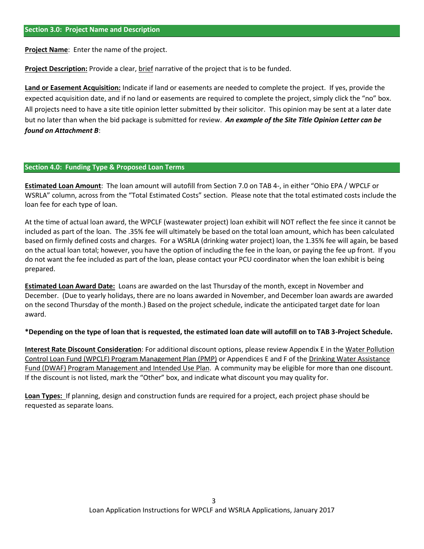**Project Name**: Enter the name of the project.

**Project Description:** Provide a clear, brief narrative of the project that is to be funded.

**Land or Easement Acquisition:** Indicate if land or easements are needed to complete the project. If yes, provide the expected acquisition date, and if no land or easements are required to complete the project, simply click the "no" box. All projects need to have a site title opinion letter submitted by their solicitor. This opinion may be sent at a later date but no later than when the bid package is submitted for review. *An example of the Site Title Opinion Letter can be found on Attachment B*:

#### **Section 4.0: Funding Type & Proposed Loan Terms**

**Estimated Loan Amount**: The loan amount will autofill from Section 7.0 on TAB 4-, in either "Ohio EPA / WPCLF or WSRLA" column, across from the "Total Estimated Costs" section. Please note that the total estimated costs include the loan fee for each type of loan.

At the time of actual loan award, the WPCLF (wastewater project) loan exhibit will NOT reflect the fee since it cannot be included as part of the loan. The .35% fee will ultimately be based on the total loan amount, which has been calculated based on firmly defined costs and charges. For a WSRLA (drinking water project) loan, the 1.35% fee will again, be based on the actual loan total; however, you have the option of including the fee in the loan, or paying the fee up front. If you do not want the fee included as part of the loan, please contact your PCU coordinator when the loan exhibit is being prepared.

**Estimated Loan Award Date:** Loans are awarded on the last Thursday of the month, except in November and December. (Due to yearly holidays, there are no loans awarded in November, and December loan awards are awarded on the second Thursday of the month.) Based on the project schedule, indicate the anticipated target date for loan award.

#### **\*Depending on the type of loan that is requested, the estimated loan date will autofill on to TAB 3-Project Schedule.**

**Interest Rate Discount Consideration**: For additional discount options, please review Appendix E in the Water Pollution Control Loan Fund (WPCLF) Program Management Plan (PMP) or Appendices E and F of the Drinking Water Assistance Fund (DWAF) Program Management and Intended Use Plan. A community may be eligible for more than one discount. If the discount is not listed, mark the "Other" box, and indicate what discount you may quality for.

**Loan Types:** If planning, design and construction funds are required for a project, each project phase should be requested as separate loans.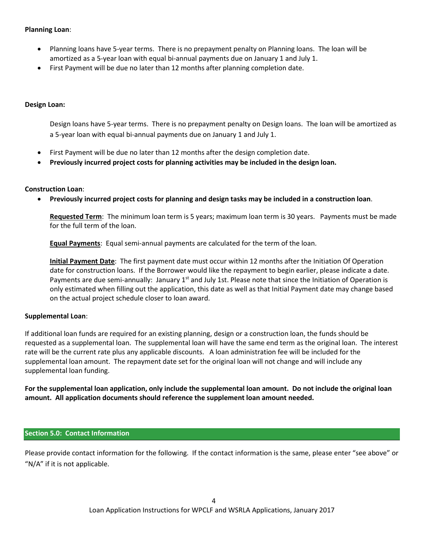## **Planning Loan**:

- Planning loans have 5-year terms. There is no prepayment penalty on Planning loans. The loan will be amortized as a 5-year loan with equal bi-annual payments due on January 1 and July 1.
- First Payment will be due no later than 12 months after planning completion date.

## **Design Loan:**

Design loans have 5-year terms. There is no prepayment penalty on Design loans. The loan will be amortized as a 5-year loan with equal bi-annual payments due on January 1 and July 1.

- First Payment will be due no later than 12 months after the design completion date.
- **Previously incurred project costs for planning activities may be included in the design loan.**

## **Construction Loan**:

**Previously incurred project costs for planning and design tasks may be included in a construction loan**.

**Requested Term**: The minimum loan term is 5 years; maximum loan term is 30 years. Payments must be made for the full term of the loan.

**Equal Payments**: Equal semi-annual payments are calculated for the term of the loan.

**Initial Payment Date**: The first payment date must occur within 12 months after the Initiation Of Operation date for construction loans. If the Borrower would like the repayment to begin earlier, please indicate a date. Payments are due semi-annually: January  $1<sup>st</sup>$  and July 1st. Please note that since the Initiation of Operation is only estimated when filling out the application, this date as well as that Initial Payment date may change based on the actual project schedule closer to loan award.

## **Supplemental Loan**:

If additional loan funds are required for an existing planning, design or a construction loan, the funds should be requested as a supplemental loan. The supplemental loan will have the same end term as the original loan. The interest rate will be the current rate plus any applicable discounts. A loan administration fee will be included for the supplemental loan amount. The repayment date set for the original loan will not change and will include any supplemental loan funding.

**For the supplemental loan application, only include the supplemental loan amount. Do not include the original loan amount. All application documents should reference the supplement loan amount needed.**

## **Section 5.0: Contact Information**

Please provide contact information for the following. If the contact information is the same, please enter "see above" or "N/A" if it is not applicable.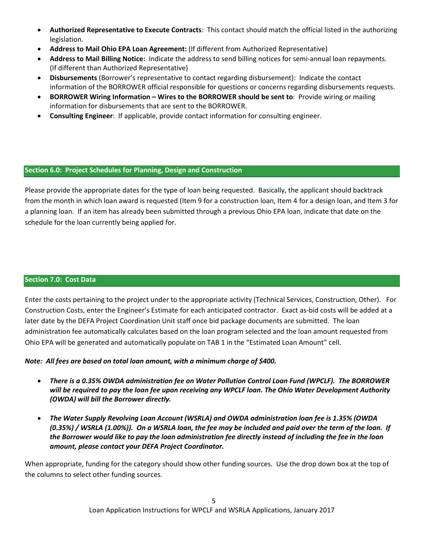- **Authorized Representative to Execute Contracts**: This contact should match the official listed in the authorizing legislation.
- **Address to Mail Ohio EPA Loan Agreement:** (If different from Authorized Representative)
- **Address to Mail Billing Notice:** Indicate the address to send billing notices for semi-annual loan repayments. (If different than Authorized Representative)
- **Disbursements** (Borrower's representative to contact regarding disbursement): Indicate the contact information of the BORROWER official responsible for questions or concerns regarding disbursements requests.
- **BORROWER Wiring Information – Wires to the BORROWER should be sent to**: Provide wiring or mailing information for disbursements that are sent to the BORROWER.
- **Consulting Engineer**: If applicable, provide contact information for consulting engineer.

## **Section 6.0: Project Schedules for Planning, Design and Construction**

Please provide the appropriate dates for the type of loan being requested. Basically, the applicant should backtrack from the month in which loan award is requested (Item 9 for a construction loan, Item 4 for a design loan, and Item 3 for a planning loan. If an item has already been submitted through a previous Ohio EPA loan, indicate that date on the schedule for the loan currently being applied for.

## **Section 7.0: Cost Data**

Enter the costs pertaining to the project under to the appropriate activity (Technical Services, Construction, Other). For Construction Costs, enter the Engineer's Estimate for each anticipated contractor. Exact as-bid costs will be added at a later date by the DEFA Project Coordination Unit staff once bid package documents are submitted. The loan administration fee automatically calculates based on the loan program selected and the loan amount requested from Ohio EPA will be generated and automatically populate on TAB 1 in the "Estimated Loan Amount" cell.

## *Note: All fees are based on total loan amount, with a minimum charge of \$400.*

- *There is a 0.35% OWDA administration fee on Water Pollution Control Loan Fund (WPCLF). The BORROWER will be required to pay the loan fee upon receiving any WPCLF loan. The Ohio Water Development Authority (OWDA) will bill the Borrower directly.*
- *The Water Supply Revolving Loan Account (WSRLA) and OWDA administration loan fee is 1.35% (OWDA (0.35%) / WSRLA (1.00%)). On a WSRLA loan, the fee may be included and paid over the term of the loan. If the Borrower would like to pay the loan administration fee directly instead of including the fee in the loan amount, please contact your DEFA Project Coordinator.*

When appropriate, funding for the category should show other funding sources. Use the drop down box at the top of the columns to select other funding sources.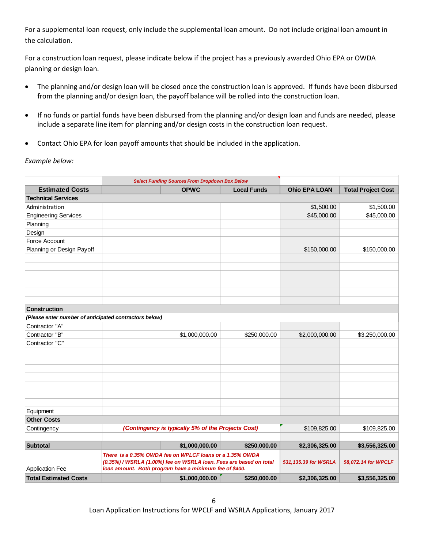For a supplemental loan request, only include the supplemental loan amount. Do not include original loan amount in the calculation.

For a construction loan request, please indicate below if the project has a previously awarded Ohio EPA or OWDA planning or design loan.

- The planning and/or design loan will be closed once the construction loan is approved. If funds have been disbursed from the planning and/or design loan, the payoff balance will be rolled into the construction loan.
- If no funds or partial funds have been disbursed from the planning and/or design loan and funds are needed, please include a separate line item for planning and/or design costs in the construction loan request.
- Contact Ohio EPA for loan payoff amounts that should be included in the application.

#### **Example below:**

|                                                        | <b>Select Funding Sources From Dropdown Box Below</b> |                                                                                                                                                                                          |                    |                       |                           |
|--------------------------------------------------------|-------------------------------------------------------|------------------------------------------------------------------------------------------------------------------------------------------------------------------------------------------|--------------------|-----------------------|---------------------------|
| <b>Estimated Costs</b>                                 |                                                       | <b>OPWC</b>                                                                                                                                                                              | <b>Local Funds</b> | <b>Ohio EPA LOAN</b>  | <b>Total Project Cost</b> |
| <b>Technical Services</b>                              |                                                       |                                                                                                                                                                                          |                    |                       |                           |
| Administration                                         |                                                       |                                                                                                                                                                                          |                    | \$1,500.00            | \$1,500.00                |
| <b>Engineering Services</b>                            |                                                       |                                                                                                                                                                                          |                    | \$45,000.00           | \$45,000.00               |
| Planning                                               |                                                       |                                                                                                                                                                                          |                    |                       |                           |
| Design                                                 |                                                       |                                                                                                                                                                                          |                    |                       |                           |
| Force Account                                          |                                                       |                                                                                                                                                                                          |                    |                       |                           |
| Planning or Design Payoff                              |                                                       |                                                                                                                                                                                          |                    | \$150,000.00          | \$150,000.00              |
|                                                        |                                                       |                                                                                                                                                                                          |                    |                       |                           |
|                                                        |                                                       |                                                                                                                                                                                          |                    |                       |                           |
|                                                        |                                                       |                                                                                                                                                                                          |                    |                       |                           |
|                                                        |                                                       |                                                                                                                                                                                          |                    |                       |                           |
|                                                        |                                                       |                                                                                                                                                                                          |                    |                       |                           |
|                                                        |                                                       |                                                                                                                                                                                          |                    |                       |                           |
| <b>Construction</b>                                    |                                                       |                                                                                                                                                                                          |                    |                       |                           |
| (Please enter number of anticipated contractors below) |                                                       |                                                                                                                                                                                          |                    |                       |                           |
| Contractor "A"                                         |                                                       |                                                                                                                                                                                          |                    |                       |                           |
| Contractor "B"                                         |                                                       | \$1,000,000.00                                                                                                                                                                           | \$250,000.00       | \$2,000,000.00        | \$3,250,000.00            |
| Contractor "C"                                         |                                                       |                                                                                                                                                                                          |                    |                       |                           |
|                                                        |                                                       |                                                                                                                                                                                          |                    |                       |                           |
|                                                        |                                                       |                                                                                                                                                                                          |                    |                       |                           |
|                                                        |                                                       |                                                                                                                                                                                          |                    |                       |                           |
|                                                        |                                                       |                                                                                                                                                                                          |                    |                       |                           |
|                                                        |                                                       |                                                                                                                                                                                          |                    |                       |                           |
|                                                        |                                                       |                                                                                                                                                                                          |                    |                       |                           |
|                                                        |                                                       |                                                                                                                                                                                          |                    |                       |                           |
| Equipment                                              |                                                       |                                                                                                                                                                                          |                    |                       |                           |
| <b>Other Costs</b>                                     |                                                       |                                                                                                                                                                                          |                    |                       |                           |
| Contingency                                            | (Contingency is typically 5% of the Projects Cost)    |                                                                                                                                                                                          | \$109,825.00       | \$109,825.00          |                           |
|                                                        |                                                       |                                                                                                                                                                                          |                    |                       |                           |
| <b>Subtotal</b>                                        |                                                       | \$1,000,000.00                                                                                                                                                                           | \$250,000.00       | \$2,306,325.00        | \$3,556,325.00            |
| <b>Application Fee</b>                                 |                                                       | There is a 0.35% OWDA fee on WPLCF loans or a 1.35% OWDA<br>(0.35%) / WSRLA (1.00%) fee on WSRLA loan. Fees are based on total<br>loan amount. Both program have a minimum fee of \$400. |                    | \$31,135.39 for WSRLA | \$8,072.14 for WPCLF      |
| <b>Total Estimated Costs</b>                           |                                                       | \$1,000,000.00                                                                                                                                                                           | \$250,000.00       | \$2,306,325.00        | \$3,556,325.00            |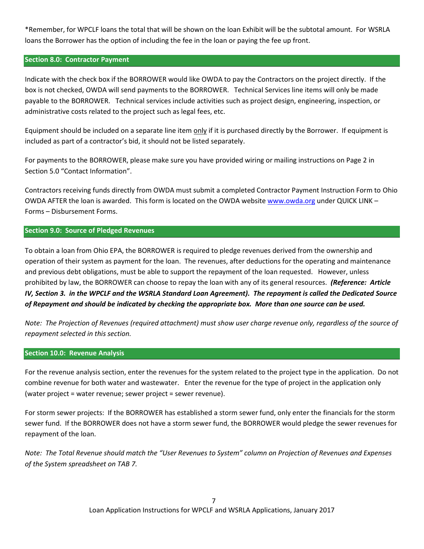\*Remember, for WPCLF loans the total that will be shown on the loan Exhibit will be the subtotal amount. For WSRLA loans the Borrower has the option of including the fee in the loan or paying the fee up front.

## **Section 8.0: Contractor Payment**

Indicate with the check box if the BORROWER would like OWDA to pay the Contractors on the project directly. If the box is not checked, OWDA will send payments to the BORROWER. Technical Services line items will only be made payable to the BORROWER. Technical services include activities such as project design, engineering, inspection, or administrative costs related to the project such as legal fees, etc.

Equipment should be included on a separate line item only if it is purchased directly by the Borrower. If equipment is included as part of a contractor's bid, it should not be listed separately.

For payments to the BORROWER, please make sure you have provided wiring or mailing instructions on Page 2 in Section 5.0 "Contact Information".

Contractors receiving funds directly from OWDA must submit a completed Contractor Payment Instruction Form to Ohio OWDA AFTER the loan is awarded. This form is located on the OWDA websit[e www.owda.org](http://www.owda.org/) under QUICK LINK – Forms – Disbursement Forms.

## **Section 9.0: Source of Pledged Revenues**

To obtain a loan from Ohio EPA, the BORROWER is required to pledge revenues derived from the ownership and operation of their system as payment for the loan. The revenues, after deductions for the operating and maintenance and previous debt obligations, must be able to support the repayment of the loan requested. However, unless prohibited by law, the BORROWER can choose to repay the loan with any of its general resources. *(Reference: Article IV, Section 3. in the WPCLF and the WSRLA Standard Loan Agreement). The repayment is called the Dedicated Source of Repayment and should be indicated by checking the appropriate box. More than one source can be used.*

*Note: The Projection of Revenues (required attachment) must show user charge revenue only, regardless of the source of repayment selected in this section.* 

## **Section 10.0: Revenue Analysis**

For the revenue analysis section, enter the revenues for the system related to the project type in the application. Do not combine revenue for both water and wastewater. Enter the revenue for the type of project in the application only (water project = water revenue; sewer project = sewer revenue).

For storm sewer projects: If the BORROWER has established a storm sewer fund, only enter the financials for the storm sewer fund. If the BORROWER does not have a storm sewer fund, the BORROWER would pledge the sewer revenues for repayment of the loan.

*Note: The Total Revenue should match the "User Revenues to System" column on Projection of Revenues and Expenses of the System spreadsheet on TAB 7.*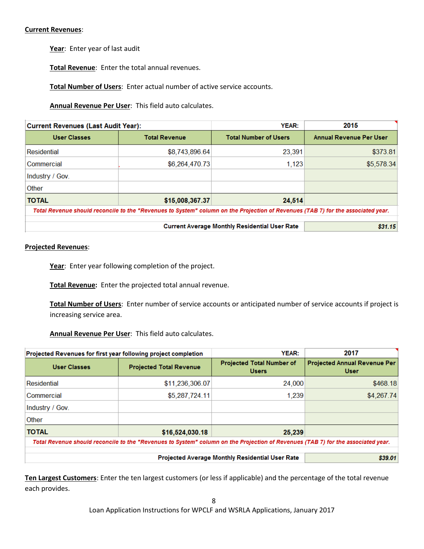#### **Current Revenues**:

**Year**: Enter year of last audit

**Total Revenue**: Enter the total annual revenues.

**Total Number of Users**: Enter actual number of active service accounts.

**Annual Revenue Per User**: This field auto calculates.

| <b>Current Revenues (Last Audit Year):</b> |                                                                                                                                  | YEAR:                                                | 2015                    |
|--------------------------------------------|----------------------------------------------------------------------------------------------------------------------------------|------------------------------------------------------|-------------------------|
| <b>User Classes</b>                        | <b>Total Revenue</b>                                                                                                             | <b>Total Number of Users</b>                         | Annual Revenue Per User |
| Residential                                | \$8,743,896.64                                                                                                                   | 23,391                                               | \$373.81                |
| Commercial                                 | \$6,264,470.73                                                                                                                   | 1,123                                                | \$5,578.34              |
| Industry / Gov.                            |                                                                                                                                  |                                                      |                         |
| Other                                      |                                                                                                                                  |                                                      |                         |
| <b>TOTAL</b>                               | \$15,008,367.37                                                                                                                  | 24,514                                               |                         |
|                                            | Total Revenue should reconcile to the "Revenues to System" column on the Projection of Revenues (TAB 7) for the associated year. |                                                      |                         |
|                                            |                                                                                                                                  | <b>Current Average Monthly Residential User Rate</b> | \$31.15                 |

#### **Projected Revenues**:

Year: Enter year following completion of the project.

**Total Revenue:** Enter the projected total annual revenue.

**Total Number of Users**: Enter number of service accounts or anticipated number of service accounts if project is increasing service area.

**Annual Revenue Per User**: This field auto calculates.

| Projected Revenues for first year following project completion                                                                   |                                | YEAR:                                            | 2017                                               |  |  |  |
|----------------------------------------------------------------------------------------------------------------------------------|--------------------------------|--------------------------------------------------|----------------------------------------------------|--|--|--|
| <b>User Classes</b>                                                                                                              | <b>Projected Total Revenue</b> | <b>Projected Total Number of</b><br><b>Users</b> | <b>Projected Annual Revenue Per</b><br><b>User</b> |  |  |  |
| <b>Residential</b>                                                                                                               | \$11,236,306.07                | 24,000                                           | \$468.18                                           |  |  |  |
| Commercial                                                                                                                       | \$5,287,724.11                 | 1,239                                            | \$4,267.74                                         |  |  |  |
| Industry / Gov.                                                                                                                  |                                |                                                  |                                                    |  |  |  |
| Other                                                                                                                            |                                |                                                  |                                                    |  |  |  |
| <b>TOTAL</b>                                                                                                                     | \$16,524,030.18                | 25,239                                           |                                                    |  |  |  |
| Total Revenue should reconcile to the "Revenues to System" column on the Projection of Revenues (TAB 7) for the associated year. |                                |                                                  |                                                    |  |  |  |
|                                                                                                                                  | \$39.01                        |                                                  |                                                    |  |  |  |

**Ten Largest Customers**: Enter the ten largest customers (or less if applicable) and the percentage of the total revenue each provides.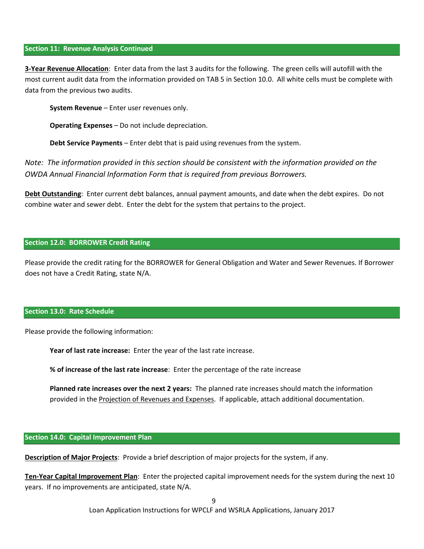#### **Section 11: Revenue Analysis Continued**

**3-Year Revenue Allocation**: Enter data from the last 3 audits for the following. The green cells will autofill with the most current audit data from the information provided on TAB 5 in Section 10.0. All white cells must be complete with data from the previous two audits.

**System Revenue** – Enter user revenues only.

**Operating Expenses** – Do not include depreciation.

**Debt Service Payments** – Enter debt that is paid using revenues from the system.

*Note: The information provided in this section should be consistent with the information provided on the OWDA Annual Financial Information Form that is required from previous Borrowers.* 

**Debt Outstanding**: Enter current debt balances, annual payment amounts, and date when the debt expires. Do not combine water and sewer debt. Enter the debt for the system that pertains to the project.

#### **Section 12.0: BORROWER Credit Rating**

Please provide the credit rating for the BORROWER for General Obligation and Water and Sewer Revenues. If Borrower does not have a Credit Rating, state N/A.

#### **Section 13.0: Rate Schedule**

Please provide the following information:

**Year of last rate increase:** Enter the year of the last rate increase.

**% of increase of the last rate increase**: Enter the percentage of the rate increase

**Planned rate increases over the next 2 years:** The planned rate increases should match the information provided in the Projection of Revenues and Expenses. If applicable, attach additional documentation.

#### **Section 14.0: Capital Improvement Plan**

**Description of Major Projects**: Provide a brief description of major projects for the system, if any.

**Ten-Year Capital Improvement Plan**: Enter the projected capital improvement needs for the system during the next 10 years. If no improvements are anticipated, state N/A.

Loan Application Instructions for WPCLF and WSRLA Applications, January 2017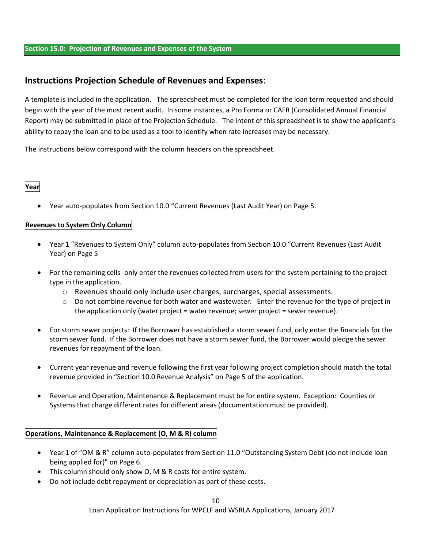#### **Section 15.0: Projection of Revenues and Expenses of the System**

## **Instructions Projection Schedule of Revenues and Expenses**:

A template is included in the application. The spreadsheet must be completed for the loan term requested and should begin with the year of the most recent audit. In some instances, a Pro Forma or CAFR (Consolidated Annual Financial Report) may be submitted in place of the Projection Schedule. The intent of this spreadsheet is to show the applicant's ability to repay the loan and to be used as a tool to identify when rate increases may be necessary.

The instructions below correspond with the column headers on the spreadsheet.

## **Year**

Year auto-populates from Section 10.0 "Current Revenues (Last Audit Year) on Page 5.

## **Revenues to System Only Column**

- Year 1 "Revenues to System Only" column auto-populates from Section 10.0 "Current Revenues (Last Audit Year) on Page 5
- For the remaining cells -only enter the revenues collected from users for the system pertaining to the project type in the application.
	- o Revenues should only include user charges, surcharges, special assessments.
	- $\circ$  Do not combine revenue for both water and wastewater. Enter the revenue for the type of project in the application only (water project = water revenue; sewer project = sewer revenue).
- For storm sewer projects: If the Borrower has established a storm sewer fund, only enter the financials for the storm sewer fund. If the Borrower does not have a storm sewer fund, the Borrower would pledge the sewer revenues for repayment of the loan.
- Current year revenue and revenue following the first year following project completion should match the total revenue provided in "Section 10.0 Revenue Analysis" on Page 5 of the application.
- Revenue and Operation, Maintenance & Replacement must be for entire system. Exception: Counties or Systems that charge different rates for different areas (documentation must be provided).

## **Operations, Maintenance & Replacement (O, M & R) column**

- Year 1 of "OM & R" column auto-populates from Section 11.0 "Outstanding System Debt (do not include loan being applied for)" on Page 6.
- This column should only show O, M & R costs for entire system.
- Do not include debt repayment or depreciation as part of these costs.

Loan Application Instructions for WPCLF and WSRLA Applications, January 2017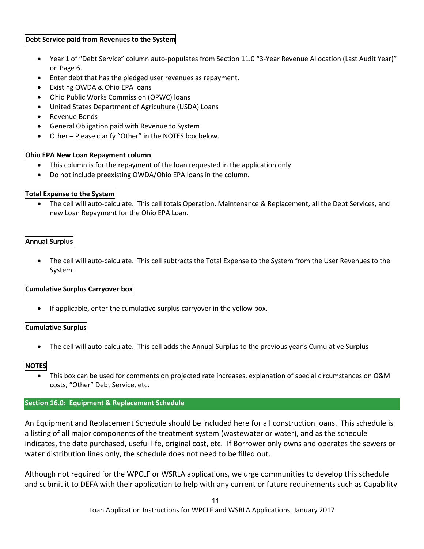## **Debt Service paid from Revenues to the System**

- Year 1 of "Debt Service" column auto-populates from Section 11.0 "3-Year Revenue Allocation (Last Audit Year)" on Page 6.
- Enter debt that has the pledged user revenues as repayment.
- Existing OWDA & Ohio EPA loans
- Ohio Public Works Commission (OPWC) loans
- United States Department of Agriculture (USDA) Loans
- Revenue Bonds
- General Obligation paid with Revenue to System
- Other Please clarify "Other" in the NOTES box below.

## **Ohio EPA New Loan Repayment column**

- This column is for the repayment of the loan requested in the application only.
- Do not include preexisting OWDA/Ohio EPA loans in the column.

## **Total Expense to the System**

 The cell will auto-calculate. This cell totals Operation, Maintenance & Replacement, all the Debt Services, and new Loan Repayment for the Ohio EPA Loan.

## **Annual Surplus**

 The cell will auto-calculate. This cell subtracts the Total Expense to the System from the User Revenues to the System.

## **Cumulative Surplus Carryover box**

If applicable, enter the cumulative surplus carryover in the yellow box.

## **Cumulative Surplus**

The cell will auto-calculate. This cell adds the Annual Surplus to the previous year's Cumulative Surplus

## **NOTES**

 This box can be used for comments on projected rate increases, explanation of special circumstances on O&M costs, "Other" Debt Service, etc.

## **Section 16.0: Equipment & Replacement Schedule**

An Equipment and Replacement Schedule should be included here for all construction loans. This schedule is a listing of all major components of the treatment system (wastewater or water), and as the schedule indicates, the date purchased, useful life, original cost, etc. If Borrower only owns and operates the sewers or water distribution lines only, the schedule does not need to be filled out.

Although not required for the WPCLF or WSRLA applications, we urge communities to develop this schedule and submit it to DEFA with their application to help with any current or future requirements such as Capability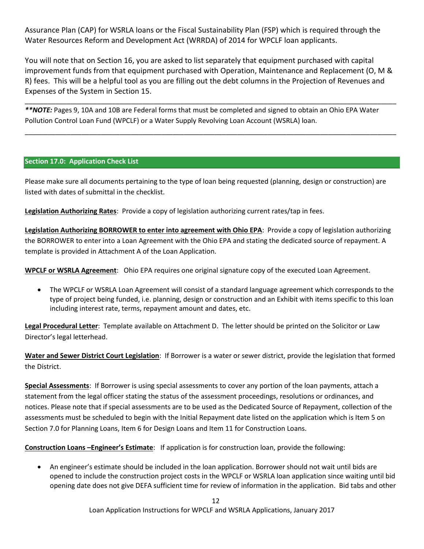Assurance Plan (CAP) for WSRLA loans or the Fiscal Sustainability Plan (FSP) which is required through the Water Resources Reform and Development Act (WRRDA) of 2014 for WPCLF loan applicants.

You will note that on Section 16, you are asked to list separately that equipment purchased with capital improvement funds from that equipment purchased with Operation, Maintenance and Replacement (O, M & R) fees. This will be a helpful tool as you are filling out the debt columns in the Projection of Revenues and Expenses of the System in Section 15.

\_\_\_\_\_\_\_\_\_\_\_\_\_\_\_\_\_\_\_\_\_\_\_\_\_\_\_\_\_\_\_\_\_\_\_\_\_\_\_\_\_\_\_\_\_\_\_\_\_\_\_\_\_\_\_\_\_\_\_\_\_\_\_\_\_\_\_\_\_\_\_\_\_\_\_\_\_\_\_\_\_\_\_\_\_\_\_\_\_\_\_\_\_\_\_\_\_\_

\_\_\_\_\_\_\_\_\_\_\_\_\_\_\_\_\_\_\_\_\_\_\_\_\_\_\_\_\_\_\_\_\_\_\_\_\_\_\_\_\_\_\_\_\_\_\_\_\_\_\_\_\_\_\_\_\_\_\_\_\_\_\_\_\_\_\_\_\_\_\_\_\_\_\_\_\_\_\_\_\_\_\_\_\_\_\_\_\_\_\_\_\_\_\_\_\_\_

*\*\*NOTE:* Pages 9, 10A and 10B are Federal forms that must be completed and signed to obtain an Ohio EPA Water Pollution Control Loan Fund (WPCLF) or a Water Supply Revolving Loan Account (WSRLA) loan.

## **Section 17.0: Application Check List**

Please make sure all documents pertaining to the type of loan being requested (planning, design or construction) are listed with dates of submittal in the checklist.

**Legislation Authorizing Rates**: Provide a copy of legislation authorizing current rates/tap in fees.

**Legislation Authorizing BORROWER to enter into agreement with Ohio EPA**: Provide a copy of legislation authorizing the BORROWER to enter into a Loan Agreement with the Ohio EPA and stating the dedicated source of repayment. A template is provided in Attachment A of the Loan Application.

**WPCLF or WSRLA Agreement**: Ohio EPA requires one original signature copy of the executed Loan Agreement.

 The WPCLF or WSRLA Loan Agreement will consist of a standard language agreement which corresponds to the type of project being funded, i.e. planning, design or construction and an Exhibit with items specific to this loan including interest rate, terms, repayment amount and dates, etc.

**Legal Procedural Letter**: Template available on Attachment D. The letter should be printed on the Solicitor or Law Director's legal letterhead.

**Water and Sewer District Court Legislation**: If Borrower is a water or sewer district, provide the legislation that formed the District.

**Special Assessments**: If Borrower is using special assessments to cover any portion of the loan payments, attach a statement from the legal officer stating the status of the assessment proceedings, resolutions or ordinances, and notices. Please note that if special assessments are to be used as the Dedicated Source of Repayment, collection of the assessments must be scheduled to begin with the Initial Repayment date listed on the application which is Item 5 on Section 7.0 for Planning Loans, Item 6 for Design Loans and Item 11 for Construction Loans.

**Construction Loans –Engineer's Estimate**: If application is for construction loan, provide the following:

 An engineer's estimate should be included in the loan application. Borrower should not wait until bids are opened to include the construction project costs in the WPCLF or WSRLA loan application since waiting until bid opening date does not give DEFA sufficient time for review of information in the application. Bid tabs and other